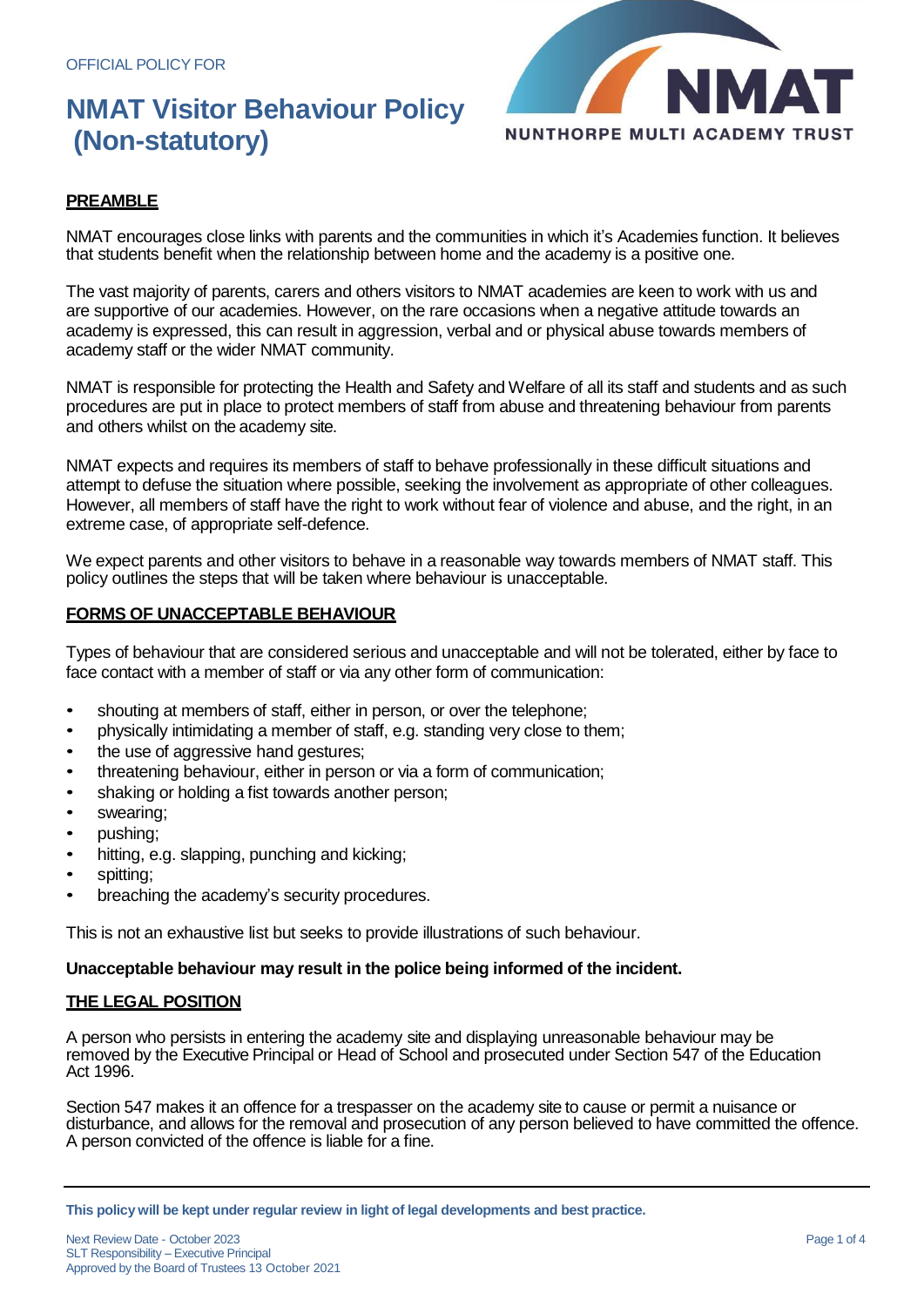# **NMAT Visitor Behaviour Policy (Non-statutory)**



### **PREAMBLE**

NMAT encourages close links with parents and the communities in which it's Academies function. It believes that students benefit when the relationship between home and the academy is a positive one.

The vast majority of parents, carers and others visitors to NMAT academies are keen to work with us and are supportive of our academies. However, on the rare occasions when a negative attitude towards an academy is expressed, this can result in aggression, verbal and or physical abuse towards members of academy staff or the wider NMAT community.

NMAT is responsible for protecting the Health and Safety and Welfare of all its staff and students and as such procedures are put in place to protect members of staff from abuse and threatening behaviour from parents and others whilst on the academy site.

NMAT expects and requires its members of staff to behave professionally in these difficult situations and attempt to defuse the situation where possible, seeking the involvement as appropriate of other colleagues. However, all members of staff have the right to work without fear of violence and abuse, and the right, in an extreme case, of appropriate self-defence.

We expect parents and other visitors to behave in a reasonable way towards members of NMAT staff. This policy outlines the steps that will be taken where behaviour is unacceptable.

#### **FORMS OF UNACCEPTABLE BEHAVIOUR**

Types of behaviour that are considered serious and unacceptable and will not be tolerated, either by face to face contact with a member of staff or via any other form of communication:

- shouting at members of staff, either in person, or over the telephone;
- physically intimidating a member of staff, e.g. standing very close to them;
- the use of aggressive hand gestures;
- threatening behaviour, either in person or via a form of communication;
- shaking or holding a fist towards another person;
- swearing;
- pushing;
- hitting, e.g. slapping, punching and kicking;
- spitting;
- breaching the academy's security procedures.

This is not an exhaustive list but seeks to provide illustrations of such behaviour.

#### **Unacceptable behaviour may result in the police being informed of the incident.**

#### **THE LEGAL POSITION**

A person who persists in entering the academy site and displaying unreasonable behaviour may be removed by the Executive Principal or Head of School and prosecuted under Section 547 of the Education Act 1996.

Section 547 makes it an offence for a trespasser on the academy site to cause or permit a nuisance or disturbance, and allows for the removal and prosecution of any person believed to have committed the offence. A person convicted of the offence is liable for a fine.

**This policywill be kept under regular review in light of legal developments and best practice.**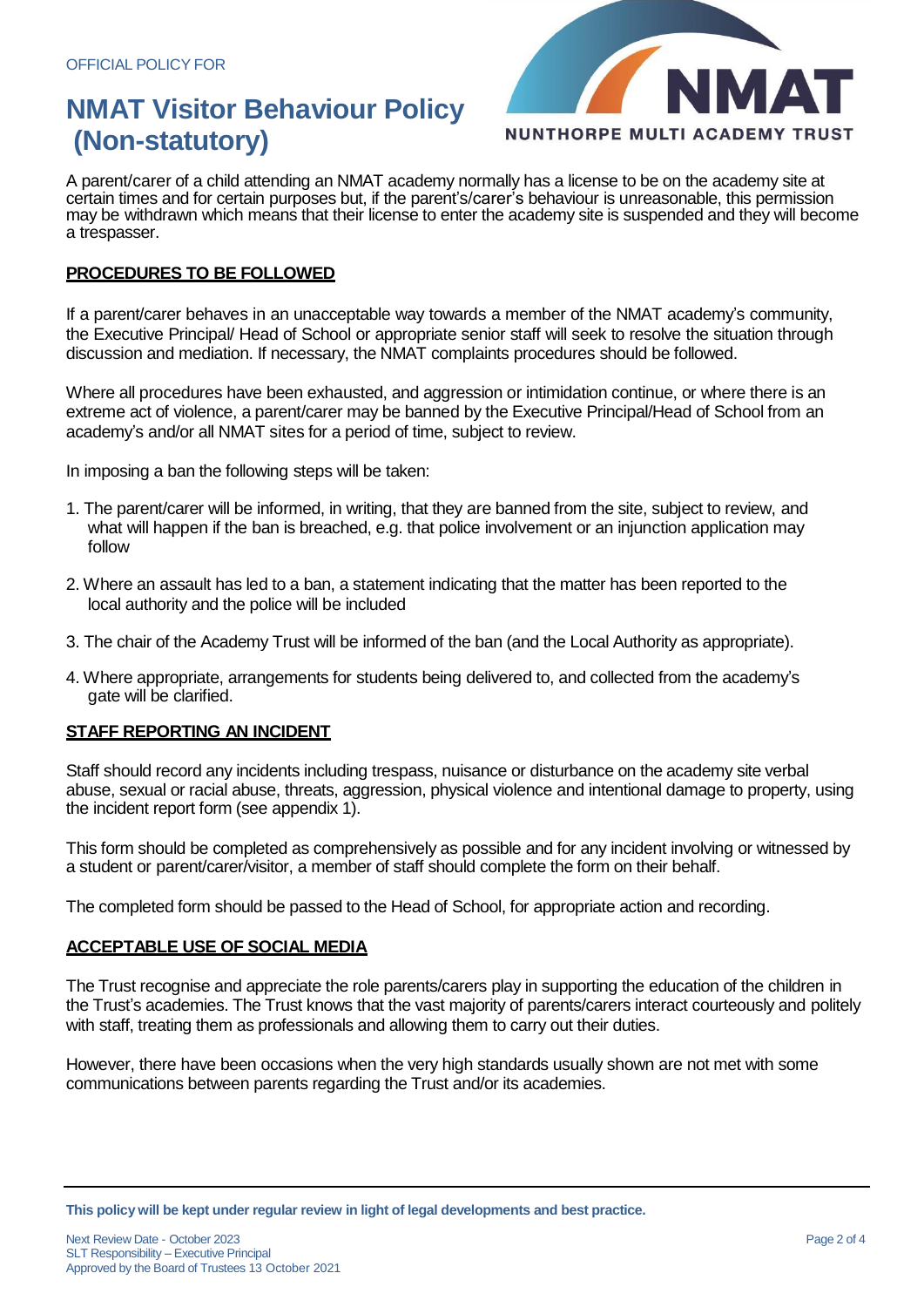## **NMAT Visitor Behaviour Policy (Non-statutory)**



A parent/carer of a child attending an NMAT academy normally has a license to be on the academy site at certain times and for certain purposes but, if the parent's/carer's behaviour is unreasonable, this permission may be withdrawn which means that their license to enter the academy site is suspended and they will become a trespasser.

#### **PROCEDURES TO BE FOLLOWED**

If a parent/carer behaves in an unacceptable way towards a member of the NMAT academy's community, the Executive Principal/ Head of School or appropriate senior staff will seek to resolve the situation through discussion and mediation. If necessary, the NMAT complaints procedures should be followed.

Where all procedures have been exhausted, and aggression or intimidation continue, or where there is an extreme act of violence, a parent/carer may be banned by the Executive Principal/Head of School from an academy's and/or all NMAT sites for a period of time, subject to review.

In imposing a ban the following steps will be taken:

- 1. The parent/carer will be informed, in writing, that they are banned from the site, subject to review, and what will happen if the ban is breached, e.g. that police involvement or an injunction application may follow
- 2. Where an assault has led to a ban, a statement indicating that the matter has been reported to the local authority and the police will be included
- 3. The chair of the Academy Trust will be informed of the ban (and the Local Authority as appropriate).
- 4. Where appropriate, arrangements for students being delivered to, and collected from the academy's gate will be clarified.

#### **STAFF REPORTING AN INCIDENT**

Staff should record any incidents including trespass, nuisance or disturbance on the academy site verbal abuse, sexual or racial abuse, threats, aggression, physical violence and intentional damage to property, using the incident report form (see appendix 1).

This form should be completed as comprehensively as possible and for any incident involving or witnessed by a student or parent/carer/visitor, a member of staff should complete the form on their behalf.

The completed form should be passed to the Head of School, for appropriate action and recording.

#### **ACCEPTABLE USE OF SOCIAL MEDIA**

The Trust recognise and appreciate the role parents/carers play in supporting the education of the children in the Trust's academies. The Trust knows that the vast majority of parents/carers interact courteously and politely with staff, treating them as professionals and allowing them to carry out their duties.

However, there have been occasions when the very high standards usually shown are not met with some communications between parents regarding the Trust and/or its academies.

**This policywill be kept under regular review in light of legal developments and best practice.**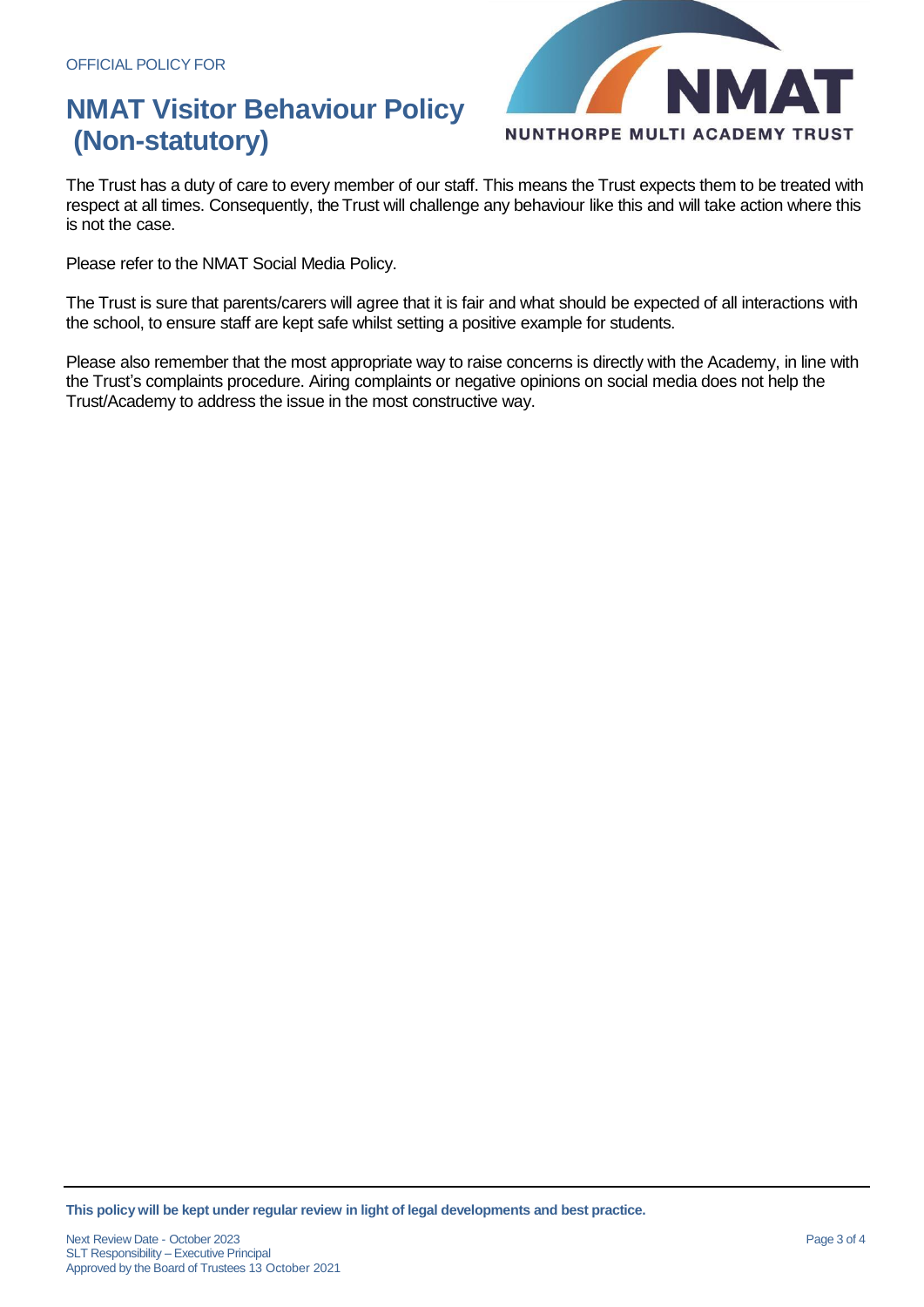# **NMAT Visitor Behaviour Policy (Non-statutory)**



The Trust has a duty of care to every member of our staff. This means the Trust expects them to be treated with respect at all times. Consequently, the Trust will challenge any behaviour like this and will take action where this is not the case.

Please refer to the NMAT Social Media Policy.

The Trust is sure that parents/carers will agree that it is fair and what should be expected of all interactions with the school, to ensure staff are kept safe whilst setting a positive example for students.

Please also remember that the most appropriate way to raise concerns is directly with the Academy, in line with the Trust's complaints procedure. Airing complaints or negative opinions on social media does not help the Trust/Academy to address the issue in the most constructive way.

**This policywill be kept under regular review in light of legal developments and best practice.**